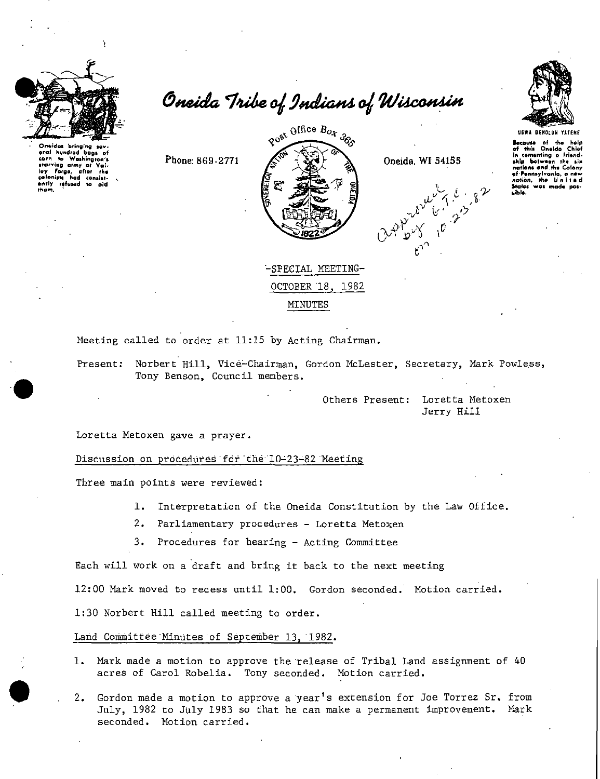

eral hundred bags of to Washington's

after

Vel.

consist-

itarvina army at

interving army or<br>ley forge, after<br>colonists had contri

 $\frac{1}{2}$ 

Oneida Tribe of Indians of Wisconsin



Phone: 869-2771



Oneida, WI 54155



**Because** of the help<br>of this Oneido Chief<br>in cementing a friendahlp. botwe lans and the Colony of Pennsylvania. notion. States Lible<sub>1</sub>

**MINUTES** 

-SPECIAL MEETING-OCTOBER 18, 1982

Meeting called to order at 11:15 by Acting Chairman.

Present: Norbert Hill, Vice-Chairman, Gordon McLester, Secretary, Mark Powless, Tony Benson, Council members.

> Others Present: Loretta Metoxen Jerry Hill

Loretta Metoxen gave a prayer.

Discussion on procedures for the 10-23-82 Meeting

Three main points were reviewed:

 $1.$ Interpretation of the Oneida Constitution by the Law Office.

 $2.$ Parliamentary procedures - Loretta Metoxen

3. Procedures for hearing - Acting Committee

Each will work on a draft and bring it back to the next meeting

12:00 Mark moved to recess until 1:00. Gordon seconded. Motion carried.

1:30 Norbert Hill called meeting to order.

Land Committee Minutes of September 13, 1982.

1. Mark made a motion to approve the release of Tribal Land assignment of 40 acres of Carol Robelia. Tony seconded. Motion carried.

2. Gordon made a motion to approve a year's extension for Joe Torrez Sr. from July, 1982 to July 1983 so that he can make a permanent improvement. Mark seconded. Motion carried.